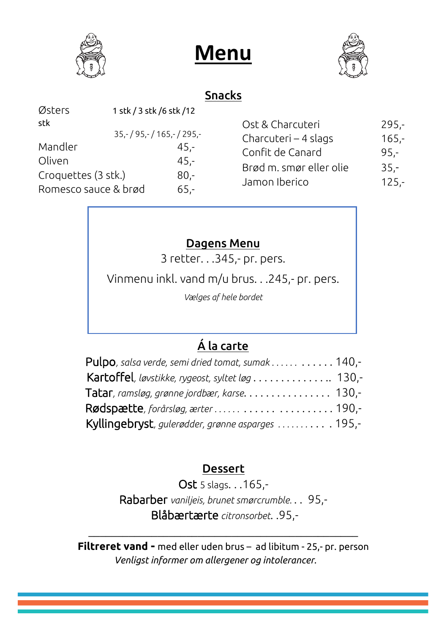





#### Snacks

| Østers               | 1 stk / 3 stk / 6 stk / 12 |      |
|----------------------|----------------------------|------|
| stk                  |                            |      |
|                      | $35,-/95,-/165,-/295,-$    |      |
| Mandler              |                            | 45,- |
| Oliven               |                            | 45,- |
| Croquettes (3 stk.)  |                            | 80.- |
| Romesco sauce & brød |                            | 65.- |
|                      |                            |      |

| Ost & Charcuteri        | $295 -$ |
|-------------------------|---------|
| Charcuteri - 4 slags    | $165 -$ |
| Confit de Canard        | $95 -$  |
| Brød m. smør eller olie | $35 -$  |
| Jamon Iberico           | $125 -$ |
|                         |         |

### Dagens Menu

3 retter. . .345,- pr. pers.

Vinmenu inkl. vand m/u brus. . .245,- pr. pers.

*Vælges af hele bordet*

## Á la carte

| <b>Pulpo</b> , salsa verde, semi dried tomat, sumak 140,- |  |
|-----------------------------------------------------------|--|
| Kartoffel, løvstikke, rygeost, syltet løg 130,-           |  |
|                                                           |  |
|                                                           |  |
| Kyllingebryst, gulerødder, grønne asparges  195,-         |  |

#### Dessert

Ost 5 slags. . .165,-

Rabarber *vaniljeis, brunet smørcrumble.* . . 95,- Blåbærtærte *citronsorbet*. .95,-

**Filtreret vand -** med eller uden brus – ad libitum - 25,- pr. person  *Venligst informer om allergener og intolerancer.*